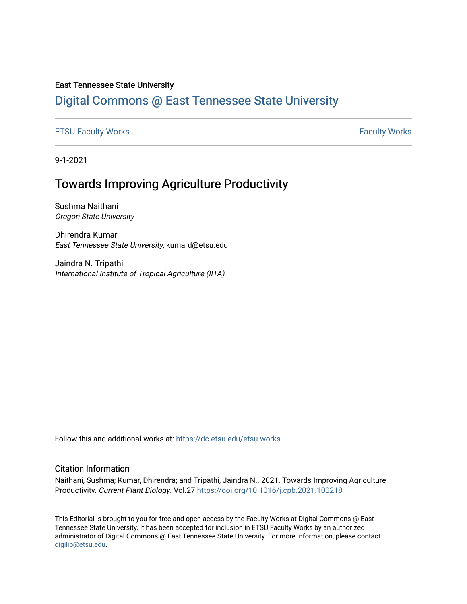### East Tennessee State University

# [Digital Commons @ East Tennessee State University](https://dc.etsu.edu/)

[ETSU Faculty Works](https://dc.etsu.edu/etsu-works) **Faculty Works** [Faculty Works](https://dc.etsu.edu/faculty-works) **Faculty Works** 

9-1-2021

# Towards Improving Agriculture Productivity

Sushma Naithani Oregon State University

Dhirendra Kumar East Tennessee State University, kumard@etsu.edu

Jaindra N. Tripathi International Institute of Tropical Agriculture (IITA)

Follow this and additional works at: [https://dc.etsu.edu/etsu-works](https://dc.etsu.edu/etsu-works?utm_source=dc.etsu.edu%2Fetsu-works%2F9810&utm_medium=PDF&utm_campaign=PDFCoverPages) 

### Citation Information

Naithani, Sushma; Kumar, Dhirendra; and Tripathi, Jaindra N.. 2021. Towards Improving Agriculture Productivity. Current Plant Biology. Vol.27<https://doi.org/10.1016/j.cpb.2021.100218>

This Editorial is brought to you for free and open access by the Faculty Works at Digital Commons @ East Tennessee State University. It has been accepted for inclusion in ETSU Faculty Works by an authorized administrator of Digital Commons @ East Tennessee State University. For more information, please contact [digilib@etsu.edu](mailto:digilib@etsu.edu).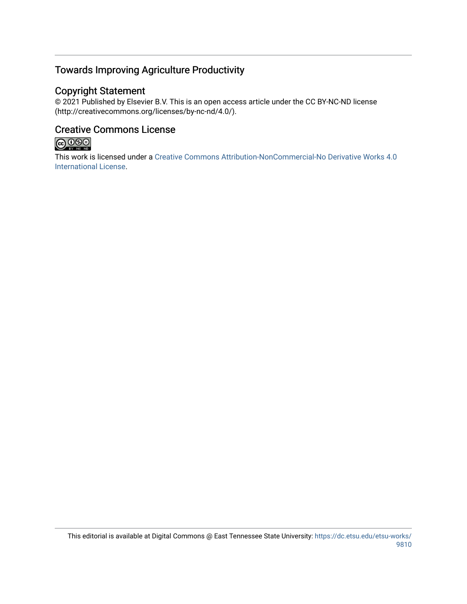# Towards Improving Agriculture Productivity

## Copyright Statement

© 2021 Published by Elsevier B.V. This is an open access article under the CC BY-NC-ND license (http://creativecommons.org/licenses/by-nc-nd/4.0/).

## Creative Commons License



This work is licensed under a [Creative Commons Attribution-NonCommercial-No Derivative Works 4.0](https://creativecommons.org/licenses/by-nc-nd/4.0/)  [International License.](https://creativecommons.org/licenses/by-nc-nd/4.0/)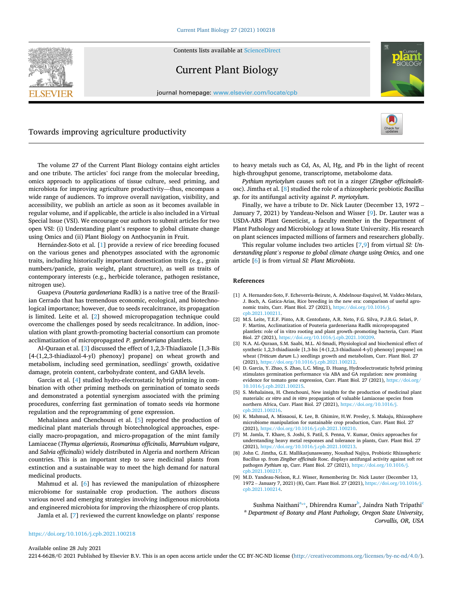

Contents lists available at [ScienceDirect](www.sciencedirect.com/science/journal/22146628)

## Current Plant Biology





### Towards improving agriculture productivity



The volume 27 of the Current Plant Biology contains eight articles and one tribute. The articles' foci range from the molecular breeding, omics approach to applications of tissue culture, seed priming, and microbiota for improving agriculture productivity—thus, encompass a wide range of audiences. To improve overall navigation, visibility, and accessibility, we publish an article as soon as it becomes available in regular volume, and if applicable, the article is also included in a Virtual Special Issue (VSI). We encourage our authors to submit articles for two open VSI: (i) Understanding plant's response to global climate change using Omics and (ii) Plant Biology on Anthocyanin in Fruit.

Hernández-Soto et al. [1] provide a review of rice breeding focused on the various genes and phenotypes associated with the agronomic traits, including historically important domestication traits (e.g., grain numbers/panicle, grain weight, plant structure), as well as traits of contemporary interests (e.g., herbicide tolerance, pathogen resistance, nitrogen use).

Guapeva (*Pouteria gardeneriana* Radlk) is a native tree of the Brazilian Cerrado that has tremendous economic, ecological, and biotechnological importance; however, due to seeds recalcitrance, its propagation is limited. Leite et al. [2] showed micropropagation technique could overcome the challenges posed by seeds recalcitrance. In addion, inoculation with plant growth-promoting bacterial consortium can promote acclimatization of micropropagated *P. gardeneriana* plantlets.

Al-Quraan et al. [3] discussed the effect of 1,2,3-Thiadiazole [1,3-Bis [4-(1,2,3-thiadiazol-4-yl) phenoxy] propane] on wheat growth and metabolism, including seed germination, seedlings' growth, oxidative damage, protein content, carbohydrate content, and GABA levels.

Garcia et al. [4] studied hydro-electrostatic hybrid priming in combination with other priming methods on germination of tomato seeds and demonstrated a potential synergism associated with the priming procedures, conferring fast germination of tomato seeds *via* hormone regulation and the reprogramming of gene expression.

Mehalainea and Chenchouni et al. [5] reported the production of medicinal plant materials through biotechnological approaches, especially macro-propagation, and micro-propagation of the mint family Lamiaceae (*Thymus algeriensis, Rosmarinus officinalis, Marrubium vulgare*, and *Salvia officinalis*) widely distributed in Algeria and northern African countries. This is an important step to save medicinal plants from extinction and a sustainable way to meet the high demand for natural medicinal products.

Mahmud et al. [6] has reviewed the manipulation of rhizosphere microbiome for sustainable crop production. The authors discuss various novel and emerging strategies involving indigenous microbiota and engineered microbiota for improving the rhizosphere of crop plants.

Jamla et al. [7] reviewed the current knowledge on plants' response

to heavy metals such as Cd, As, Al, Hg, and Pb in the light of recent high-throughput genome, transcriptome, metabolome data.

*Pythium myriotylum* causes soft rot in a zinger (*Zingiber officinale*Rosc). Jimtha et al. [8] studied the role of a rhizospheric probiotic *Bacillus sp*. for its antifungal activity against *P. myriotylum*.

Finally, we have a tribute to Dr. Nick Lauter (December 13, 1972 – January 7, 2021) by Yandeau-Nelson and Wisser [9]. Dr. Lauter was a USDA-ARS Plant Geneticist, a faculty member in the Department of Plant Pathology and Microbiology at Iowa State University. His research on plant sciences impacted millions of farmers and researchers globally.

This regular volume includes two articles [7,9] from virtual *SI: Understanding plant's response to global climate change using Omics,* and one article [6] is from virtual *SI: Plant Microbiota*.

#### **References**

- [1] A. Hernandez-Soto, F. Echeverría-Beirute, A. Abdelnour-Esquivel, M. Valdez-Melara, J. Boch, A. Gatica-Arias, Rice breeding in the new era: comparison of useful agronomic traits, Curr. Plant Biol. 27 (2021), [https://doi.org/10.1016/j.](https://doi.org/10.1016/j.cpb.2021.100211)  bb.2021.100211
- [2] M.S. Leite, T.E.F. Pinto, A.R. Centofante, A.R. Neto, F.G. Silva, P.J.R.G. Selari, P. F. Martins, Acclimatization of Pouteria gardeneriana Radlk micropropagated plantlets: role of in vitro rooting and plant growth–promoting bacteria, Curr. Plant Biol. 27 (2021), [https://doi.org/10.1016/j.cpb.2021.100209.](https://doi.org/10.1016/j.cpb.2021.100209)
- [3] N.A. AL-Quraan, S.M. Saabi, M.L. Al-Smadi, Physiological and biochemical effect of synthetic 1,2,3-thiadiazole [1,3-bis [4-(1,2,3-thiadiazol-4-yl) phenoxy] propane] on wheat (*Triticum durum* L.) seedlings growth and metabolism, Curr. Plant Biol. 27 (2021), [https://doi.org/10.1016/j.cpb.2021.100212.](https://doi.org/10.1016/j.cpb.2021.100212)
- [4] D. Garcia, Y. Zhao, S. Zhao, L.C. Ming, D. Huang, Hydroelectrostatic hybrid priming stimulates germination performance via ABA and GA regulation: new promising evidence for tomato gene expression, Curr. Plant Biol. 27 (2021), [https://doi.org/](https://doi.org/10.1016/j.cpb.2021.100215)  [10.1016/j.cpb.2021.100215](https://doi.org/10.1016/j.cpb.2021.100215).
- [5] S. Mehalainea, H. Chenchouni, New insights for the production of medicinal plant materials: *ex vitro* and *in vitro* propagation of valuable Lamiaceae species from northern Africa, Curr. Plant Biol. 27 (2021), [https://doi.org/10.1016/j.](https://doi.org/10.1016/j.cpb.2021.100216)  $b.2021.1002$
- [6] K. Mahmud, A. Missaoui, K. Lee, B. Ghimire, H.W. Presley, S. Makaju, Rhizosphere microbiome manipulation for sustainable crop production, Curr. Plant Biol. 27 (2021), [https://doi.org/10.1016/j.cpb.2021.100210.](https://doi.org/10.1016/j.cpb.2021.100210)
- [7] M. Jamla, T. Khare, S. Joshi, S. Patil, S. Penna, V. Kumar, Omics approaches for understanding heavy metal responses and tolerance in plants, Curr. Plant Biol. 27 (2021), [https://doi.org/10.1016/j.cpb.2021.100213.](https://doi.org/10.1016/j.cpb.2021.100213)
- [8] John C. Jimtha, G.E. Mallikarjunaswamy, Noushad Najiya, Probiotic Rhizospheric Bacillus sp. from *Zingiber officinale* Rosc. displays antifungal activity against soft rot pathogen *Pythium* sp, Curr. Plant Biol. 27 (2021), [https://doi.org/10.1016/j.](https://doi.org/10.1016/j.cpb.2021.100217) [cpb.2021.100217](https://doi.org/10.1016/j.cpb.2021.100217).
- [9] M.D. Yandeau-Nelson, R.J. Wisser, Remembering Dr. Nick Lauter (December 13, 1972 – January 7, 2021) (8), Curr. Plant Biol. 27 (2021), [https://doi.org/10.1016/j.](https://doi.org/10.1016/j.cpb.2021.100214)  [cpb.2021.100214](https://doi.org/10.1016/j.cpb.2021.100214).

Sushma Naithani<sup>a,\*</sup>, Dhirendra Kumar<sup>b</sup>, Jaindra Nath Tripathi<sup>c</sup> <sup>a</sup> *Department of Botany and Plant Pathology, Oregon State University, Corvallis, OR, USA* 

#### <https://doi.org/10.1016/j.cpb.2021.100218>

Available online 28 July 2021

2214-6628/© 2021 Published by Elsevier B.V. This is an open access article under the CC BY-NC-ND license [\(http://creativecommons.org/licenses/by-nc-nd/4.0/\)](http://creativecommons.org/licenses/by-nc-nd/4.0/).